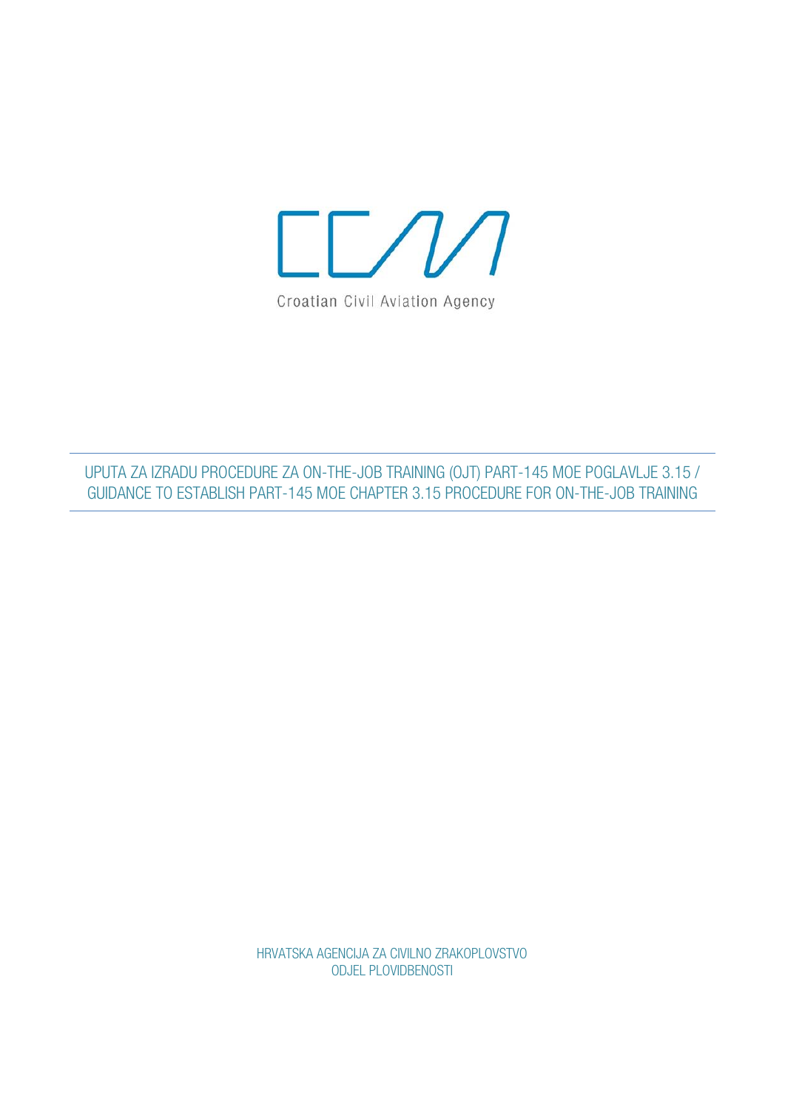

UPUTA ZA IZRADU PROCEDURE ZA ON-THE-JOB TRAINING (OJT) PART-145 MOE POGLAVLJE 3.15 / GUIDANCE TO ESTABLISH PART-145 MOE CHAPTER 3.15 PROCEDURE FOR ON-THE-JOB TRAINING

> HRVATSKA AGENCIJA ZA CIVILNO ZRAKOPLOVSTVO ODJEL PLOVIDBENOSTI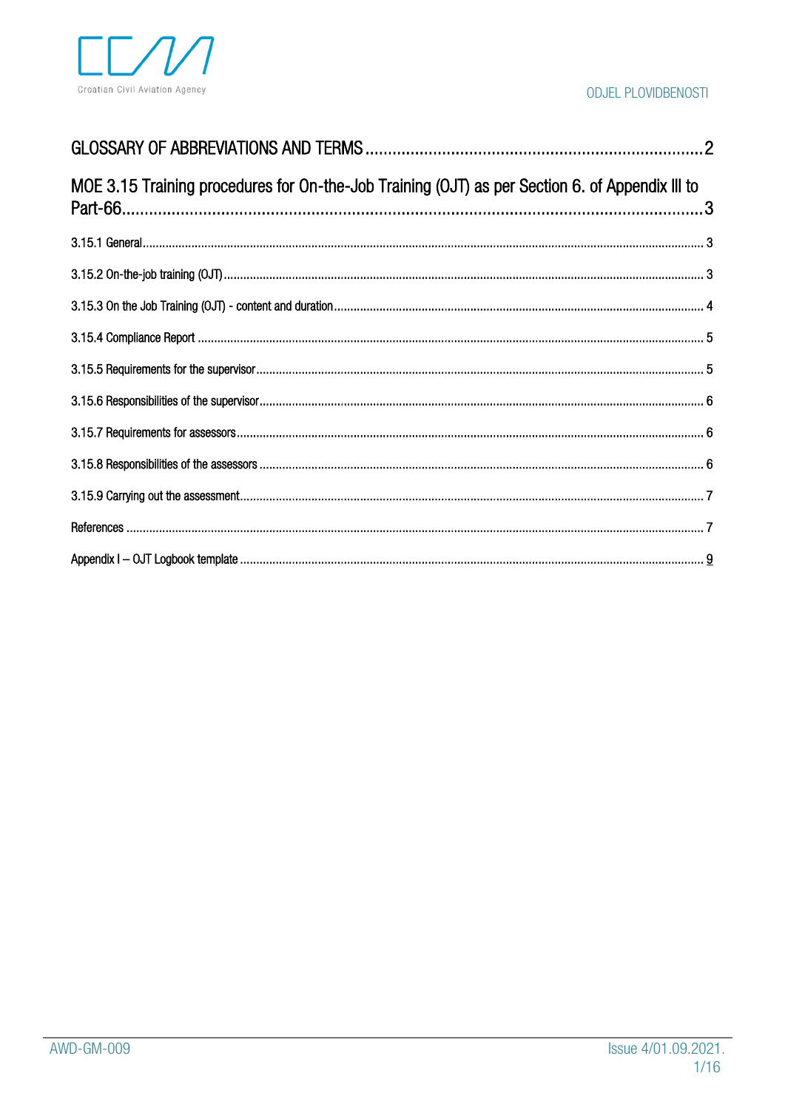

| MOE 3.15 Training procedures for On-the-Job Training (OJT) as per Section 6. of Appendix III to |  |
|-------------------------------------------------------------------------------------------------|--|
|                                                                                                 |  |
|                                                                                                 |  |
|                                                                                                 |  |
|                                                                                                 |  |
|                                                                                                 |  |
|                                                                                                 |  |
|                                                                                                 |  |
|                                                                                                 |  |
|                                                                                                 |  |
|                                                                                                 |  |
|                                                                                                 |  |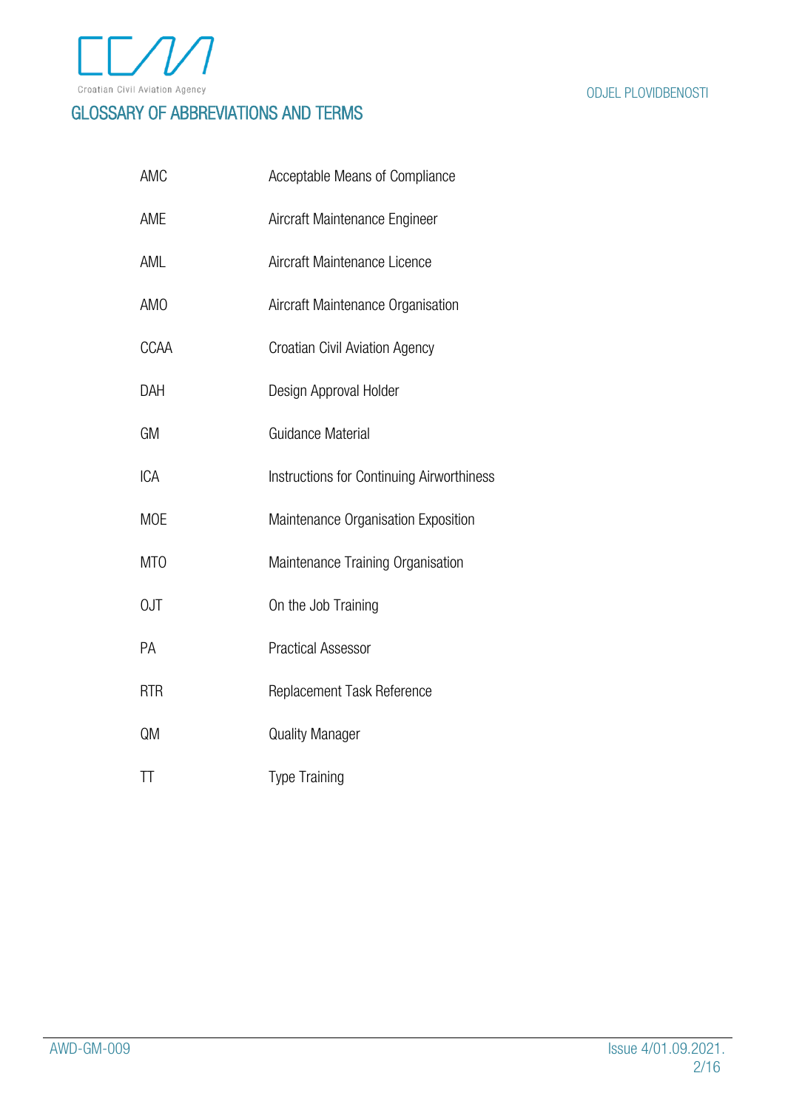

## <span id="page-2-0"></span>GLOSSARY OF ABBREVIATIONS AND TERMS

| AMC              | Acceptable Means of Compliance            |
|------------------|-------------------------------------------|
| AME              | Aircraft Maintenance Engineer             |
| AML              | Aircraft Maintenance Licence              |
| <b>AMO</b>       | Aircraft Maintenance Organisation         |
| <b>CCAA</b>      | <b>Croatian Civil Aviation Agency</b>     |
| DAH              | Design Approval Holder                    |
| GM               | Guidance Material                         |
| <b>ICA</b>       | Instructions for Continuing Airworthiness |
| <b>MOE</b>       | Maintenance Organisation Exposition       |
| M <sub>T</sub> O | Maintenance Training Organisation         |
| 0JT              | On the Job Training                       |
| РA               | <b>Practical Assessor</b>                 |
| <b>RTR</b>       | Replacement Task Reference                |
| QM               | <b>Quality Manager</b>                    |
| TΤ               | <b>Type Training</b>                      |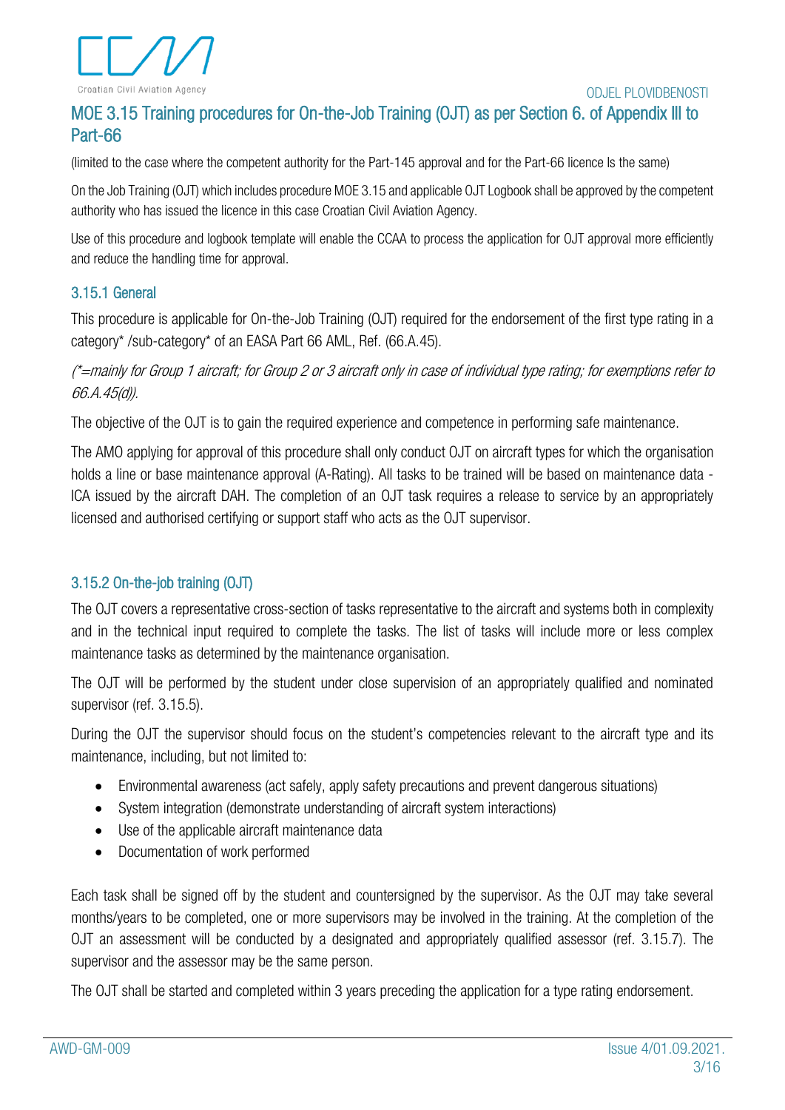

## <span id="page-3-0"></span>MOE 3.15 Training procedures for On-the-Job Training (OJT) as per Section 6. of Appendix Ill to Part-66

(limited to the case where the competent authority for the Part-145 approval and for the Part-66 licence Is the same)

On the Job Training (OJT) which includes procedure MOE 3.15 and applicable OJT Logbook shall be approved by the competent authority who has issued the licence in this case Croatian Civil Aviation Agency.

Use of this procedure and logbook template will enable the CCAA to process the application for OJT approval more efficiently and reduce the handling time for approval.

## <span id="page-3-1"></span>3.15.1 General

This procedure is applicable for On-the-Job Training (OJT) required for the endorsement of the first type rating in a category\* /sub-category\* of an EASA Part 66 AML, Ref. (66.A.45).

(\*=mainly for Group 1 aircraft; for Group 2 or 3 aircraft only in case of individual type rating; for exemptions refer to 66.A.45(d)).

The objective of the OJT is to gain the required experience and competence in performing safe maintenance.

The AMO applying for approval of this procedure shall only conduct OJT on aircraft types for which the organisation holds a line or base maintenance approval (A-Rating). All tasks to be trained will be based on maintenance data - ICA issued by the aircraft DAH. The completion of an OJT task requires a release to service by an appropriately licensed and authorised certifying or support staff who acts as the OJT supervisor.

## <span id="page-3-2"></span>3.15.2 On-the-job training (OJT)

The OJT covers a representative cross-section of tasks representative to the aircraft and systems both in complexity and in the technical input required to complete the tasks. The list of tasks will include more or less complex maintenance tasks as determined by the maintenance organisation.

The OJT will be performed by the student under close supervision of an appropriately qualified and nominated supervisor (ref. 3.15.5).

During the OJT the supervisor should focus on the student's competencies relevant to the aircraft type and its maintenance, including, but not limited to:

- Environmental awareness (act safely, apply safety precautions and prevent dangerous situations)
- System integration (demonstrate understanding of aircraft system interactions)
- Use of the applicable aircraft maintenance data
- Documentation of work performed

Each task shall be signed off by the student and countersigned by the supervisor. As the OJT may take several months/years to be completed, one or more supervisors may be involved in the training. At the completion of the OJT an assessment will be conducted by a designated and appropriately qualified assessor (ref. 3.15.7). The supervisor and the assessor may be the same person.

The OJT shall be started and completed within 3 years preceding the application for a type rating endorsement.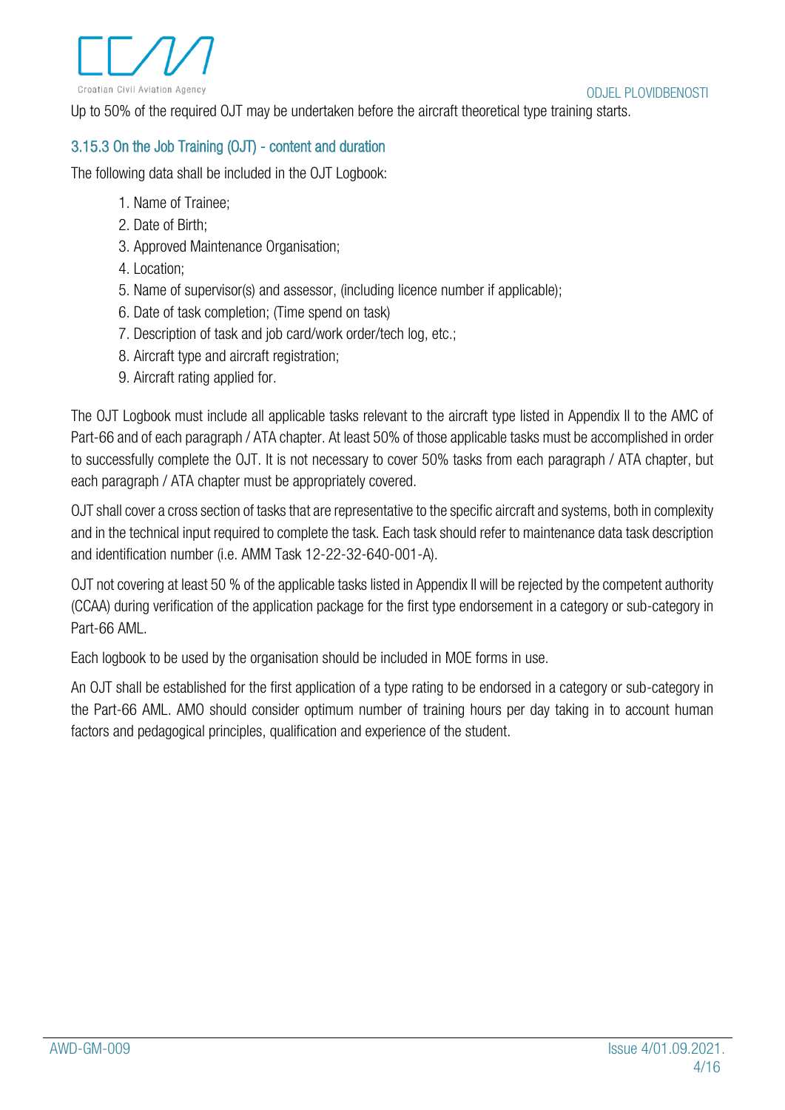Up to 50% of the required OJT may be undertaken before the aircraft theoretical type training starts.

## <span id="page-4-0"></span>3.15.3 On the Job Training (OJT) - content and duration

The following data shall be included in the OJT Logbook:

- 1. Name of Trainee;
- 2. Date of Birth;
- 3. Approved Maintenance Organisation;
- 4. Location;
- 5. Name of supervisor(s) and assessor, (including licence number if applicable);
- 6. Date of task completion; (Time spend on task)
- 7. Description of task and job card/work order/tech log, etc.;
- 8. Aircraft type and aircraft registration:
- 9. Aircraft rating applied for.

The OJT Logbook must include all applicable tasks relevant to the aircraft type listed in Appendix II to the AMC of Part-66 and of each paragraph / ATA chapter. At least 50% of those applicable tasks must be accomplished in order to successfully complete the OJT. It is not necessary to cover 50% tasks from each paragraph / ATA chapter, but each paragraph / ATA chapter must be appropriately covered.

OJT shall cover a cross section of tasks that are representative to the specific aircraft and systems, both in complexity and in the technical input required to complete the task. Each task should refer to maintenance data task description and identification number (i.e. AMM Task 12-22-32-640-001-A).

OJT not covering at least 50 % of the applicable tasks listed in Appendix II will be rejected by the competent authority (CCAA) during verification of the application package for the first type endorsement in a category or sub-category in Part-66 AML.

Each logbook to be used by the organisation should be included in MOE forms in use.

An OJT shall be established for the first application of a type rating to be endorsed in a category or sub-category in the Part-66 AML. AMO should consider optimum number of training hours per day taking in to account human factors and pedagogical principles, qualification and experience of the student.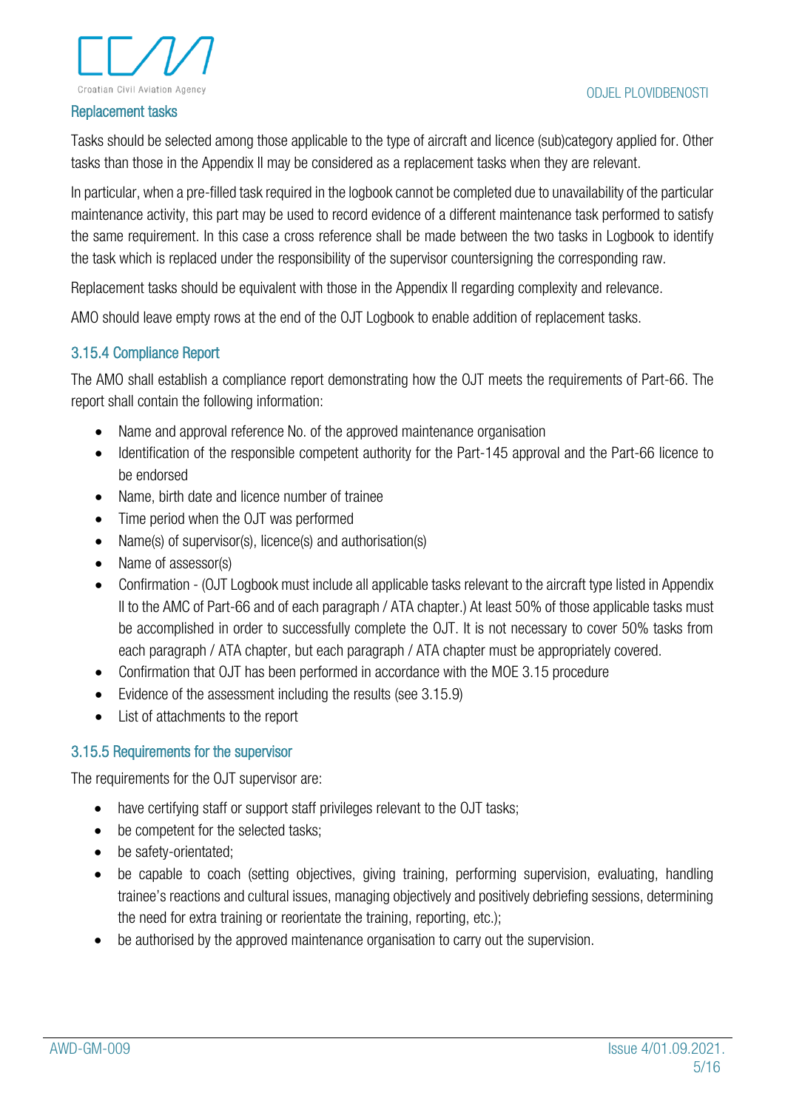

#### Replacement tasks

Tasks should be selected among those applicable to the type of aircraft and licence (sub)category applied for. Other tasks than those in the Appendix II may be considered as a replacement tasks when they are relevant.

In particular, when a pre-filled task required in the logbook cannot be completed due to unavailability of the particular maintenance activity, this part may be used to record evidence of a different maintenance task performed to satisfy the same requirement. In this case a cross reference shall be made between the two tasks in Logbook to identify the task which is replaced under the responsibility of the supervisor countersigning the corresponding raw.

Replacement tasks should be equivalent with those in the Appendix II regarding complexity and relevance.

AMO should leave empty rows at the end of the OJT Logbook to enable addition of replacement tasks.

## <span id="page-5-0"></span>3.15.4 Compliance Report

The AMO shall establish a compliance report demonstrating how the OJT meets the requirements of Part-66. The report shall contain the following information:

- Name and approval reference No. of the approved maintenance organisation
- Identification of the responsible competent authority for the Part-145 approval and the Part-66 licence to be endorsed
- Name, birth date and licence number of trainee
- Time period when the OJT was performed
- Name(s) of supervisor(s), licence(s) and authorisation(s)
- Name of assessor(s)
- Confirmation (OJT Logbook must include all applicable tasks relevant to the aircraft type listed in Appendix II to the AMC of Part-66 and of each paragraph / ATA chapter.) At least 50% of those applicable tasks must be accomplished in order to successfully complete the OJT. It is not necessary to cover 50% tasks from each paragraph / ATA chapter, but each paragraph / ATA chapter must be appropriately covered.
- Confirmation that OJT has been performed in accordance with the MOE 3.15 procedure
- Evidence of the assessment including the results (see 3.15.9)
- List of attachments to the report

### <span id="page-5-1"></span>3.15.5 Requirements for the supervisor

The requirements for the OJT supervisor are:

- have certifying staff or support staff privileges relevant to the OJT tasks;
- be competent for the selected tasks:
- be safety-orientated;
- be capable to coach (setting objectives, giving training, performing supervision, evaluating, handling trainee's reactions and cultural issues, managing objectively and positively debriefing sessions, determining the need for extra training or reorientate the training, reporting, etc.);
- be authorised by the approved maintenance organisation to carry out the supervision.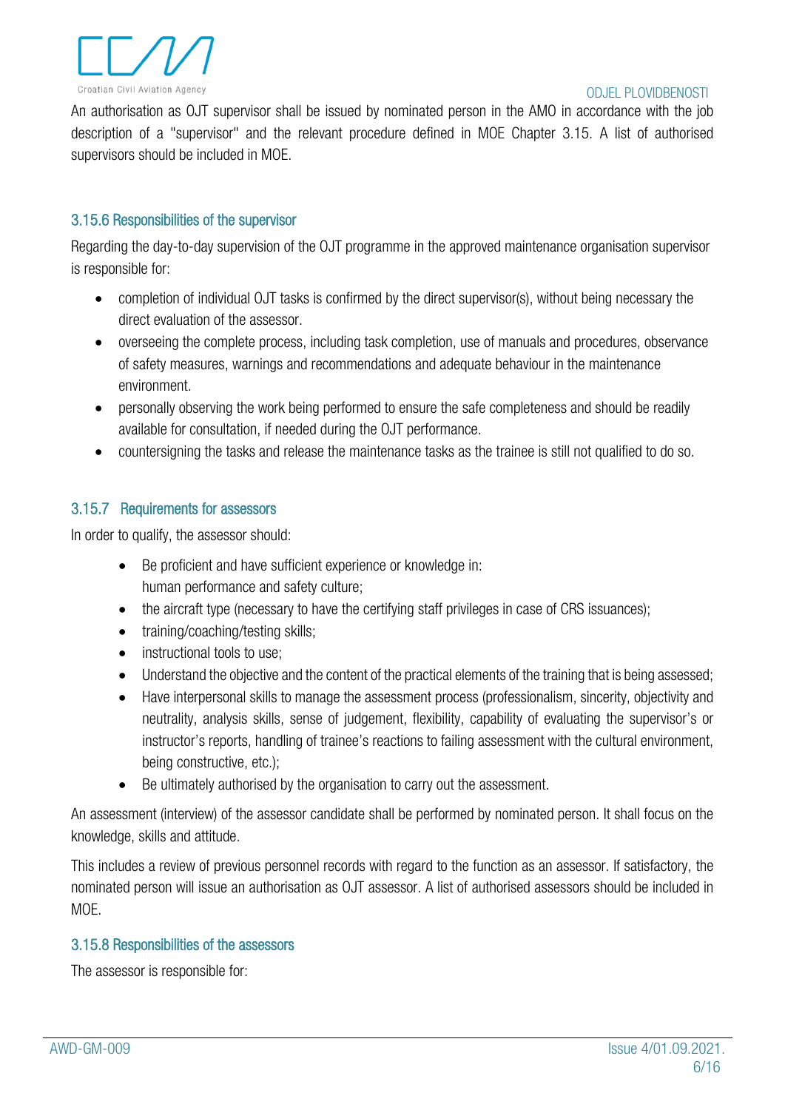

An authorisation as OJT supervisor shall be issued by nominated person in the AMO in accordance with the job description of a "supervisor" and the relevant procedure defined in MOE Chapter 3.15. A list of authorised supervisors should be included in MOE.

### <span id="page-6-0"></span>3.15.6 Responsibilities of the supervisor

Regarding the day-to-day supervision of the OJT programme in the approved maintenance organisation supervisor is responsible for:

- completion of individual OJT tasks is confirmed by the direct supervisor(s), without being necessary the direct evaluation of the assessor.
- overseeing the complete process, including task completion, use of manuals and procedures, observance of safety measures, warnings and recommendations and adequate behaviour in the maintenance environment.
- personally observing the work being performed to ensure the safe completeness and should be readily available for consultation, if needed during the OJT performance.
- countersigning the tasks and release the maintenance tasks as the trainee is still not qualified to do so.

### <span id="page-6-1"></span>3.15.7 Requirements for assessors

In order to qualify, the assessor should:

- Be proficient and have sufficient experience or knowledge in: human performance and safety culture;
- the aircraft type (necessary to have the certifying staff privileges in case of CRS issuances);
- training/coaching/testing skills;
- instructional tools to use;
- Understand the objective and the content of the practical elements of the training that is being assessed;
- Have interpersonal skills to manage the assessment process (professionalism, sincerity, objectivity and neutrality, analysis skills, sense of judgement, flexibility, capability of evaluating the supervisor's or instructor's reports, handling of trainee's reactions to failing assessment with the cultural environment, being constructive, etc.);
- Be ultimately authorised by the organisation to carry out the assessment.

An assessment (interview) of the assessor candidate shall be performed by nominated person. It shall focus on the knowledge, skills and attitude.

This includes a review of previous personnel records with regard to the function as an assessor. If satisfactory, the nominated person will issue an authorisation as OJT assessor. A list of authorised assessors should be included in MOE.

### <span id="page-6-2"></span>3.15.8 Responsibilities of the assessors

The assessor is responsible for: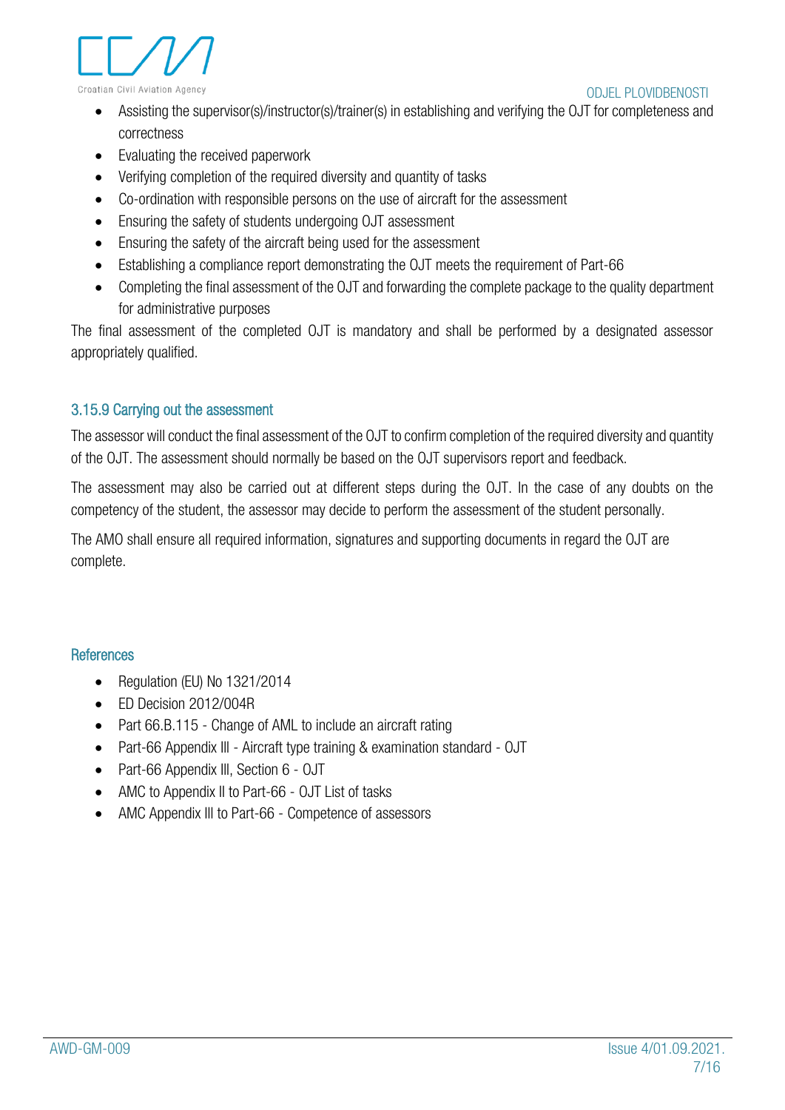



- Assisting the supervisor(s)/instructor(s)/trainer(s) in establishing and verifying the OJT for completeness and correctness
- Evaluating the received paperwork
- Verifying completion of the required diversity and quantity of tasks
- Co-ordination with responsible persons on the use of aircraft for the assessment
- Ensuring the safety of students undergoing OJT assessment
- Ensuring the safety of the aircraft being used for the assessment
- Establishing a compliance report demonstrating the OJT meets the requirement of Part-66
- Completing the final assessment of the OJT and forwarding the complete package to the quality department for administrative purposes

The final assessment of the completed OJT is mandatory and shall be performed by a designated assessor appropriately qualified.

## <span id="page-7-0"></span>3.15.9 Carrying out the assessment

The assessor will conduct the final assessment of the OJT to confirm completion of the required diversity and quantity of the OJT. The assessment should normally be based on the OJT supervisors report and feedback.

The assessment may also be carried out at different steps during the OJT. In the case of any doubts on the competency of the student, the assessor may decide to perform the assessment of the student personally.

The AMO shall ensure all required information, signatures and supporting documents in regard the OJT are complete.

## <span id="page-7-1"></span>**References**

- Regulation (EU) No 1321/2014
- ED Decision 2012/004R
- Part 66.B.115 Change of AML to include an aircraft rating
- Part-66 Appendix III Aircraft type training & examination standard OJT
- Part-66 Appendix III, Section 6 OJT
- AMC to Appendix II to Part-66 OJT List of tasks
- AMC Appendix Ill to Part-66 Competence of assessors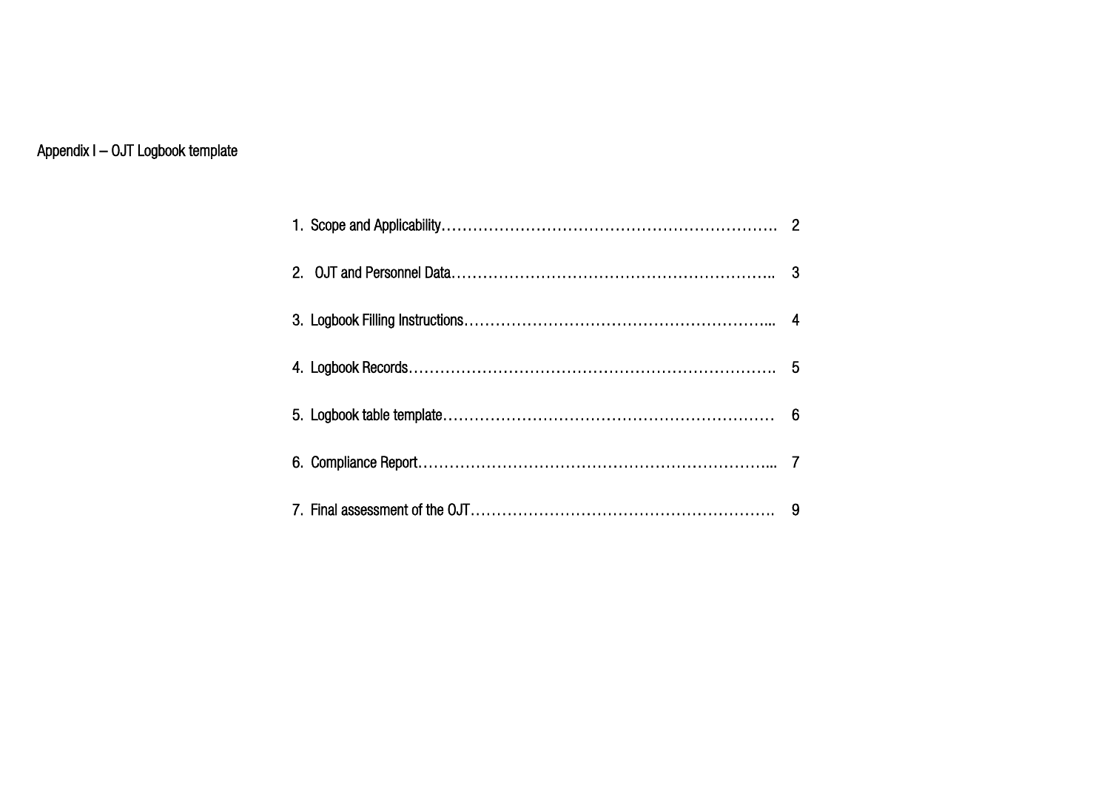## <span id="page-8-0"></span>Appendix I – OJT Logbook template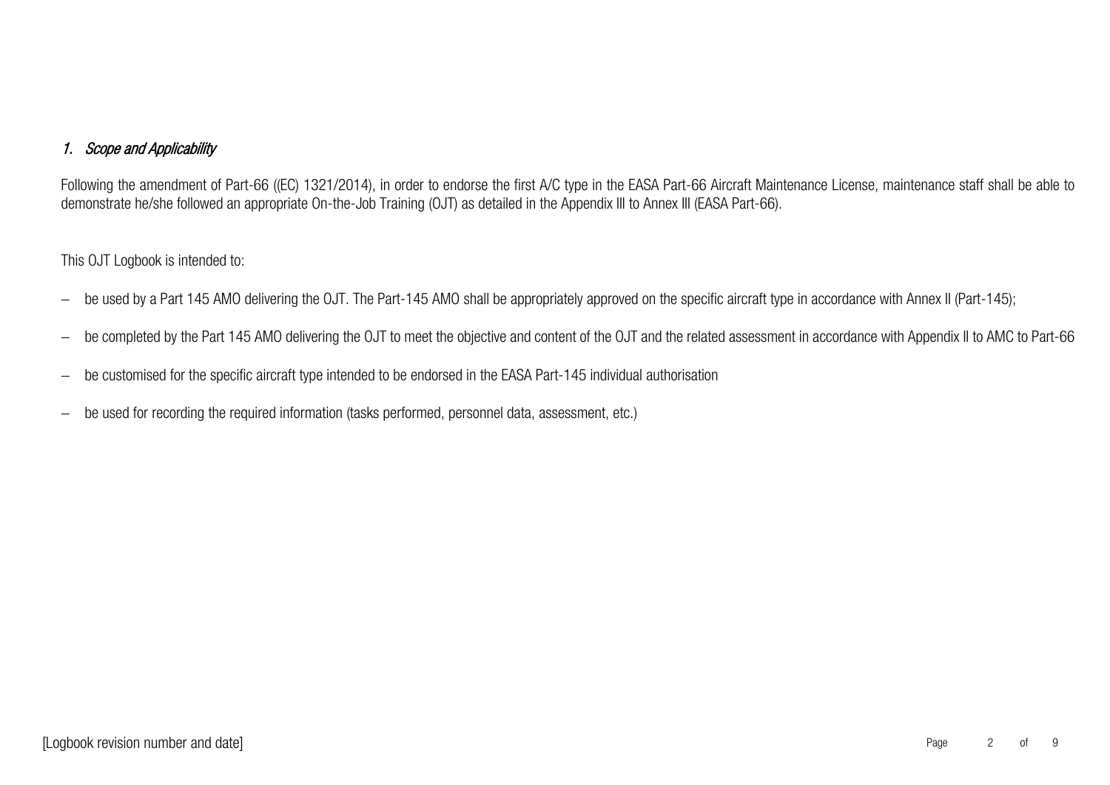## 1. Scope and Applicability

Following the amendment of Part-66 ((EC) 1321/2014), in order to endorse the first A/C type in the EASA Part-66 Aircraft Maintenance License, maintenance staff shall be able to demonstrate he/she followed an appropriate On-the-Job Training (OJT) as detailed in the Appendix III to Annex III (EASA Part-66).

#### This OJT Logbook is intended to:

- − be used by a Part 145 AMO delivering the OJT. The Part-145 AMO shall be appropriately approved on the specific aircraft type in accordance with Annex II (Part-145);
- be completed by the Part 145 AMO delivering the OJT to meet the objective and content of the OJT and the related assessment in accordance with Appendix II to AMC to Part-66
- − be customised for the specific aircraft type intended to be endorsed in the EASA Part-145 individual authorisation
- − be used for recording the required information (tasks performed, personnel data, assessment, etc.)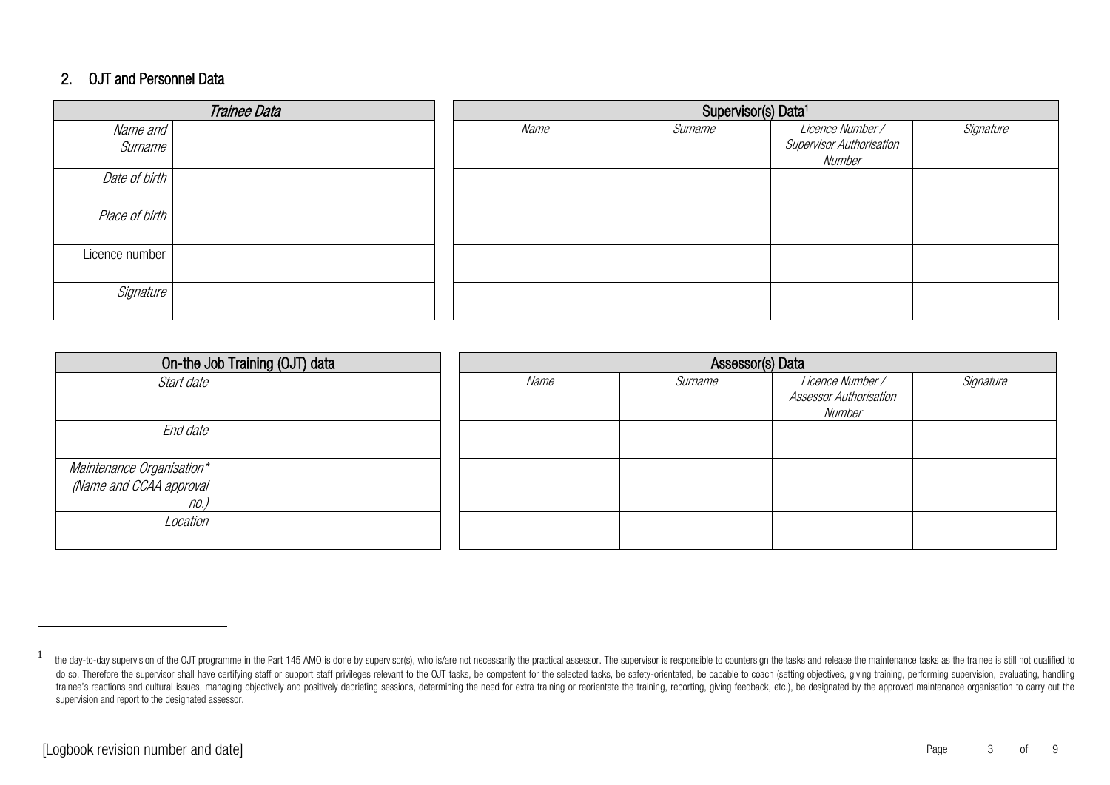### 2. OJT and Personnel Data

|                | Trainee Data | Supervisor(s) Data <sup>1</sup> |         |                                    |           |  |  |  |
|----------------|--------------|---------------------------------|---------|------------------------------------|-----------|--|--|--|
| Name and       |              | Name                            | Surname | Licence Number/                    | Signature |  |  |  |
| Surname        |              |                                 |         | Supervisor Authorisation<br>Number |           |  |  |  |
| Date of birth  |              |                                 |         |                                    |           |  |  |  |
| Place of birth |              |                                 |         |                                    |           |  |  |  |
| Licence number |              |                                 |         |                                    |           |  |  |  |
| Signature      |              |                                 |         |                                    |           |  |  |  |

|                           | On-the Job Training (OJT) data | Assessor(s) Data |         |                                                   |           |  |  |  |  |
|---------------------------|--------------------------------|------------------|---------|---------------------------------------------------|-----------|--|--|--|--|
| Start date                |                                | Name             | Surname | Licence Number /<br><b>Assessor Authorisation</b> | Signature |  |  |  |  |
|                           |                                |                  |         | Number                                            |           |  |  |  |  |
| End date                  |                                |                  |         |                                                   |           |  |  |  |  |
| Maintenance Organisation* |                                |                  |         |                                                   |           |  |  |  |  |
| (Name and CCAA approval   |                                |                  |         |                                                   |           |  |  |  |  |
| no.)                      |                                |                  |         |                                                   |           |  |  |  |  |
| Location                  |                                |                  |         |                                                   |           |  |  |  |  |
|                           |                                |                  |         |                                                   |           |  |  |  |  |

<sup>1</sup> the day-to-day supervision of the OJT programme in the Part 145 AMO is done by supervisor(s), who is/are not necessarily the practical assessor. The supervisor is responsible to countersign the tasks and release the mainte do so. Therefore the supervisor shall have certifying staff or support staff privileges relevant to the OJT tasks, be competent for the selected tasks, be safety-orientated, be capable to coach (setting objectives, giving trainee's reactions and cultural issues, managing objectively and positively debriefing sessions, determining the need for extra training or reorientate the training, reporting, giving feedback, etc.), be designated by the supervision and report to the designated assessor.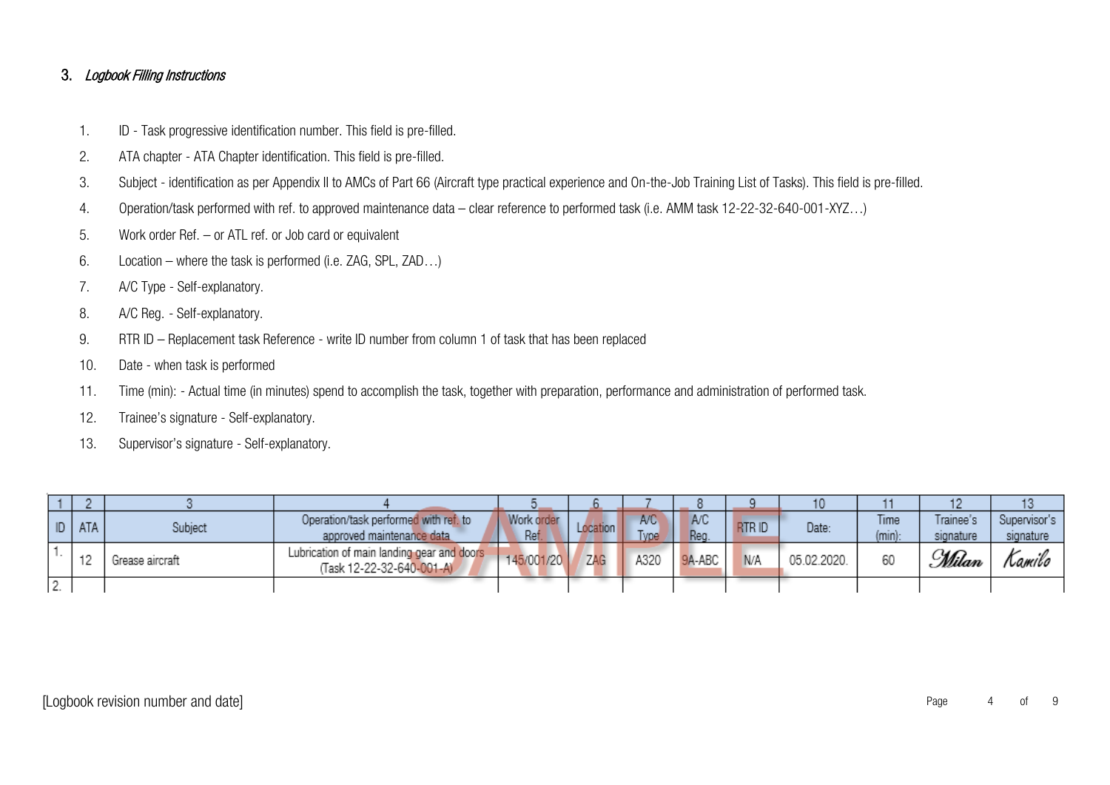#### 3. Logbook Filling Instructions

- 1. ID Task progressive identification number. This field is pre-filled.
- 2. ATA chapter ATA Chapter identification. This field is pre-filled.
- 3. Subject identification as per Appendix II to AMCs of Part 66 (Aircraft type practical experience and On-the-Job Training List of Tasks). This field is pre-filled.
- 4. Operation/task performed with ref. to approved maintenance data clear reference to performed task (i.e. AMM task 12-22-32-640-001-XYZ…)
- 5. Work order Ref. or ATL ref. or Job card or equivalent
- 6. Location where the task is performed (i.e. ZAG, SPL, ZAD…)
- 7. A/C Type Self-explanatory.
- 8. A/C Reg. Self-explanatory.
- 9. RTR ID Replacement task Reference write ID number from column 1 of task that has been replaced
- 10. Date when task is performed
- 11. Time (min): Actual time (in minutes) spend to accomplish the task, together with preparation, performance and administration of performed task.
- 12. Trainee's signature Self-explanatory.
- 13. Supervisor's signature Self-explanatory.

|    | ID   ATA | Subject         | Operation/task performed with ref. to<br>approved maintenance data      | Work order<br>Ref | Location | A/C<br>vpe | A/C<br>Reg. | <b>RTRID</b> | Date:       | Time<br>$(min)$ : | Trainee's<br>signature | Supervisor's  <br>signature |
|----|----------|-----------------|-------------------------------------------------------------------------|-------------------|----------|------------|-------------|--------------|-------------|-------------------|------------------------|-----------------------------|
|    | -4.03    | Grease aircraft | Lubrication of main landing gear and doors<br>(Task 12-22-32-640-001-A) | 145/001/20        | ZAG      | A320       | 9A-ABC      | N/A          | 05.02.2020. | 60                | <u> Wilan</u>          | Lamilo                      |
| z. |          |                 |                                                                         |                   |          |            |             |              |             |                   |                        |                             |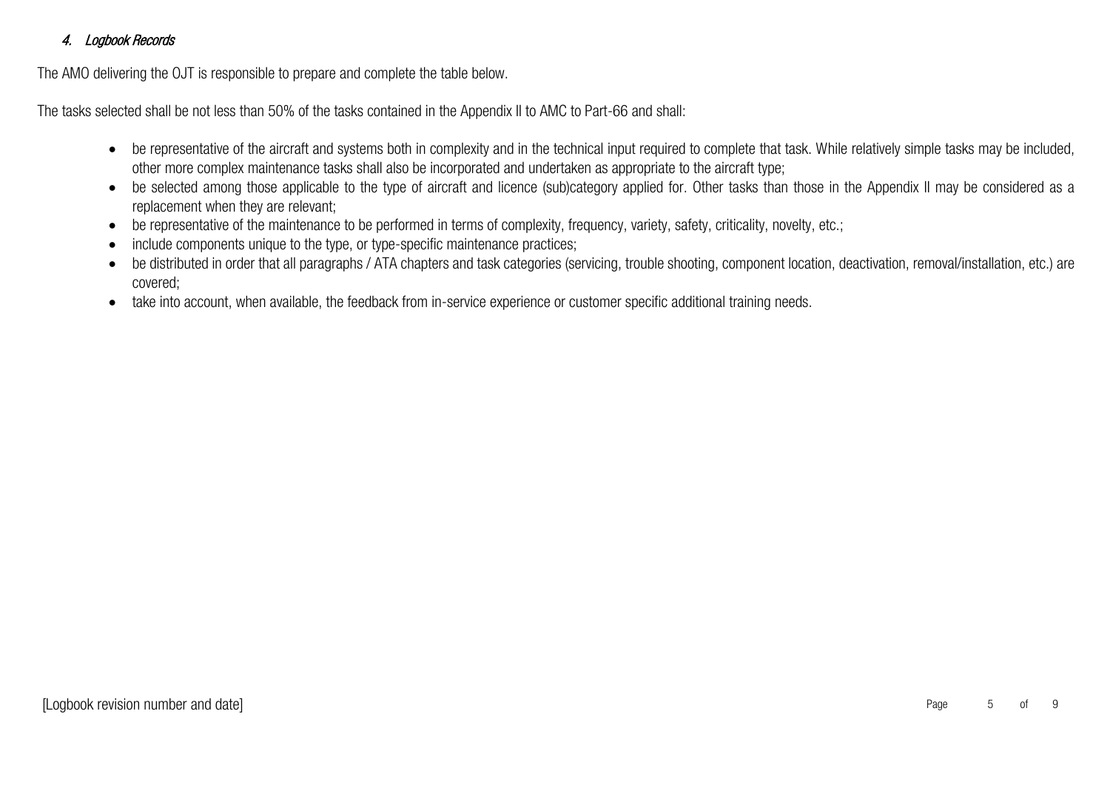## 4. Logbook Records

The AMO delivering the OJT is responsible to prepare and complete the table below.

The tasks selected shall be not less than 50% of the tasks contained in the Appendix II to AMC to Part-66 and shall:

- be representative of the aircraft and systems both in complexity and in the technical input required to complete that task. While relatively simple tasks may be included, other more complex maintenance tasks shall also be incorporated and undertaken as appropriate to the aircraft type;
- be selected among those applicable to the type of aircraft and licence (sub)category applied for. Other tasks than those in the Appendix II may be considered as a replacement when they are relevant;
- be representative of the maintenance to be performed in terms of complexity, frequency, variety, safety, criticality, novelty, etc.;
- include components unique to the type, or type-specific maintenance practices;
- be distributed in order that all paragraphs / ATA chapters and task categories (servicing, trouble shooting, component location, deactivation, removal/installation, etc.) are covered;
- take into account, when available, the feedback from in-service experience or customer specific additional training needs.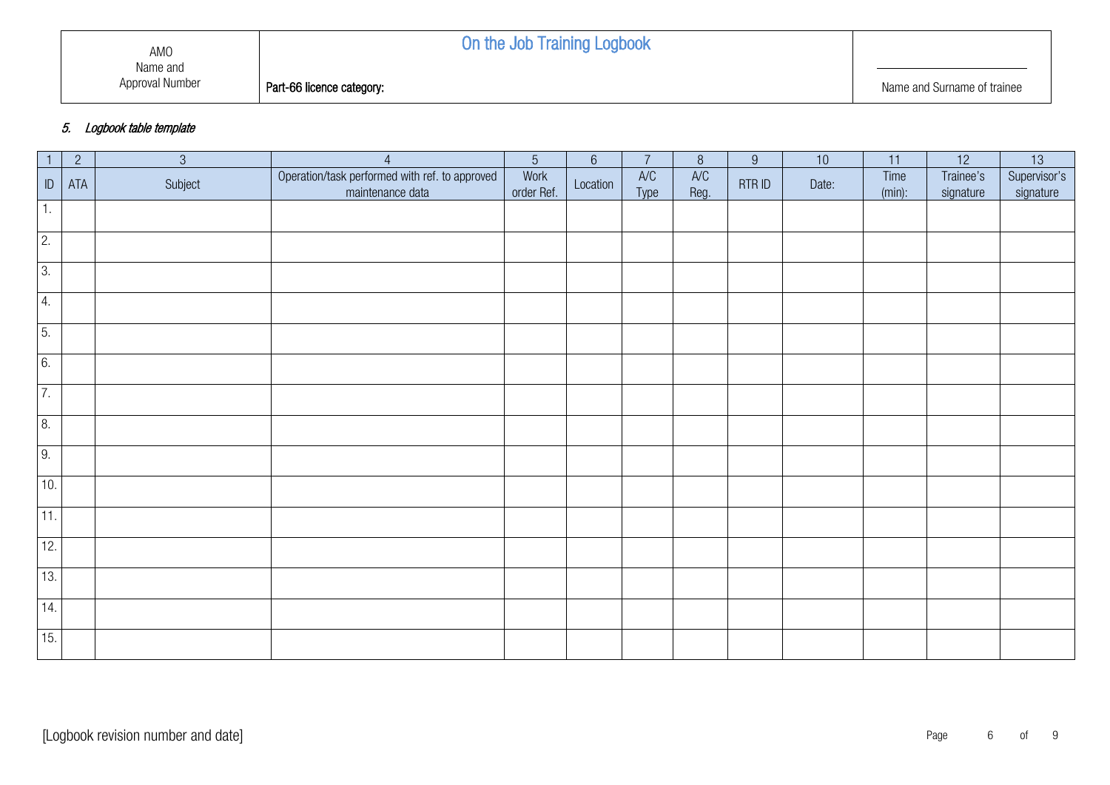# On the Job Training Logbook

**Part-66 licence category:** Name and Surname of trainee

#### 5. Logbook table template

| $\overline{1}$   | $\overline{2}$ | $\mathfrak{S}$ | $\overline{4}$                                                     | $\sqrt{5}$         | $6\,$    | $\overline{7}$ | $\, 8$      | $9\,$  | $10$  | 11                | 12                     | 13                        |
|------------------|----------------|----------------|--------------------------------------------------------------------|--------------------|----------|----------------|-------------|--------|-------|-------------------|------------------------|---------------------------|
| $\mathsf{ID}$    | ATA            | Subject        | Operation/task performed with ref. to approved<br>maintenance data | Work<br>order Ref. | Location | AVC<br>Type    | AVC<br>Reg. | RTR ID | Date: | Time<br>$(min)$ : | Trainee's<br>signature | Supervisor's<br>signature |
| 1.               |                |                |                                                                    |                    |          |                |             |        |       |                   |                        |                           |
| $\overline{2}$ . |                |                |                                                                    |                    |          |                |             |        |       |                   |                        |                           |
| 3.               |                |                |                                                                    |                    |          |                |             |        |       |                   |                        |                           |
| 4.               |                |                |                                                                    |                    |          |                |             |        |       |                   |                        |                           |
| 5.               |                |                |                                                                    |                    |          |                |             |        |       |                   |                        |                           |
| 6.               |                |                |                                                                    |                    |          |                |             |        |       |                   |                        |                           |
| 7.               |                |                |                                                                    |                    |          |                |             |        |       |                   |                        |                           |
| 8.               |                |                |                                                                    |                    |          |                |             |        |       |                   |                        |                           |
| 9.               |                |                |                                                                    |                    |          |                |             |        |       |                   |                        |                           |
| 10.              |                |                |                                                                    |                    |          |                |             |        |       |                   |                        |                           |
| $\overline{11}$  |                |                |                                                                    |                    |          |                |             |        |       |                   |                        |                           |
| 12.              |                |                |                                                                    |                    |          |                |             |        |       |                   |                        |                           |
| 13.              |                |                |                                                                    |                    |          |                |             |        |       |                   |                        |                           |
| 14.              |                |                |                                                                    |                    |          |                |             |        |       |                   |                        |                           |
| 15.              |                |                |                                                                    |                    |          |                |             |        |       |                   |                        |                           |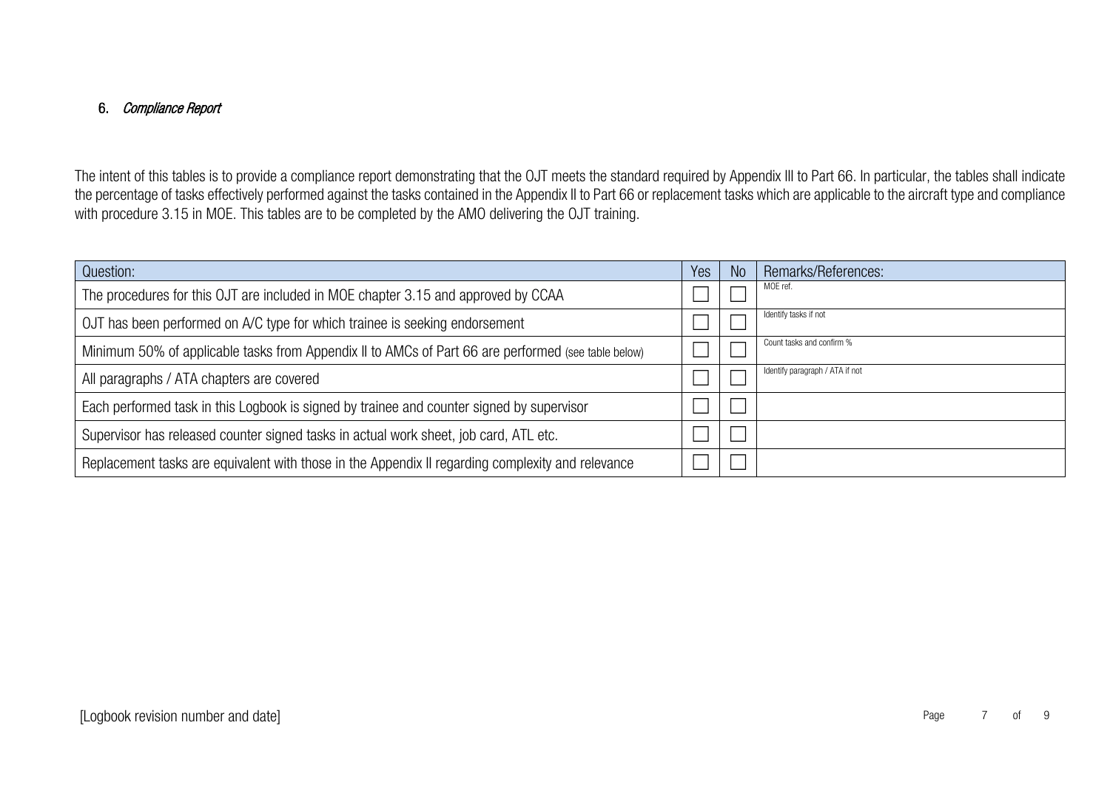### 6. Compliance Report

The intent of this tables is to provide a compliance report demonstrating that the OJT meets the standard required by Appendix III to Part 66. In particular, the tables shall indicate the percentage of tasks effectively performed against the tasks contained in the Appendix II to Part 66 or replacement tasks which are applicable to the aircraft type and compliance with procedure 3.15 in MOE. This tables are to be completed by the AMO delivering the OJT training.

| Question:                                                                                           | Yes | N <sub>o</sub> | Remarks/References:             |
|-----------------------------------------------------------------------------------------------------|-----|----------------|---------------------------------|
| The procedures for this OJT are included in MOE chapter 3.15 and approved by CCAA                   |     |                | MOE ref.                        |
| OJT has been performed on A/C type for which trainee is seeking endorsement                         |     |                | Identify tasks if not           |
| Minimum 50% of applicable tasks from Appendix II to AMCs of Part 66 are performed (see table below) |     |                | Count tasks and confirm %       |
| All paragraphs / ATA chapters are covered                                                           |     |                | Identify paragraph / ATA if not |
| Each performed task in this Logbook is signed by trainee and counter signed by supervisor           |     |                |                                 |
| Supervisor has released counter signed tasks in actual work sheet, job card, ATL etc.               |     |                |                                 |
| Replacement tasks are equivalent with those in the Appendix II regarding complexity and relevance   |     |                |                                 |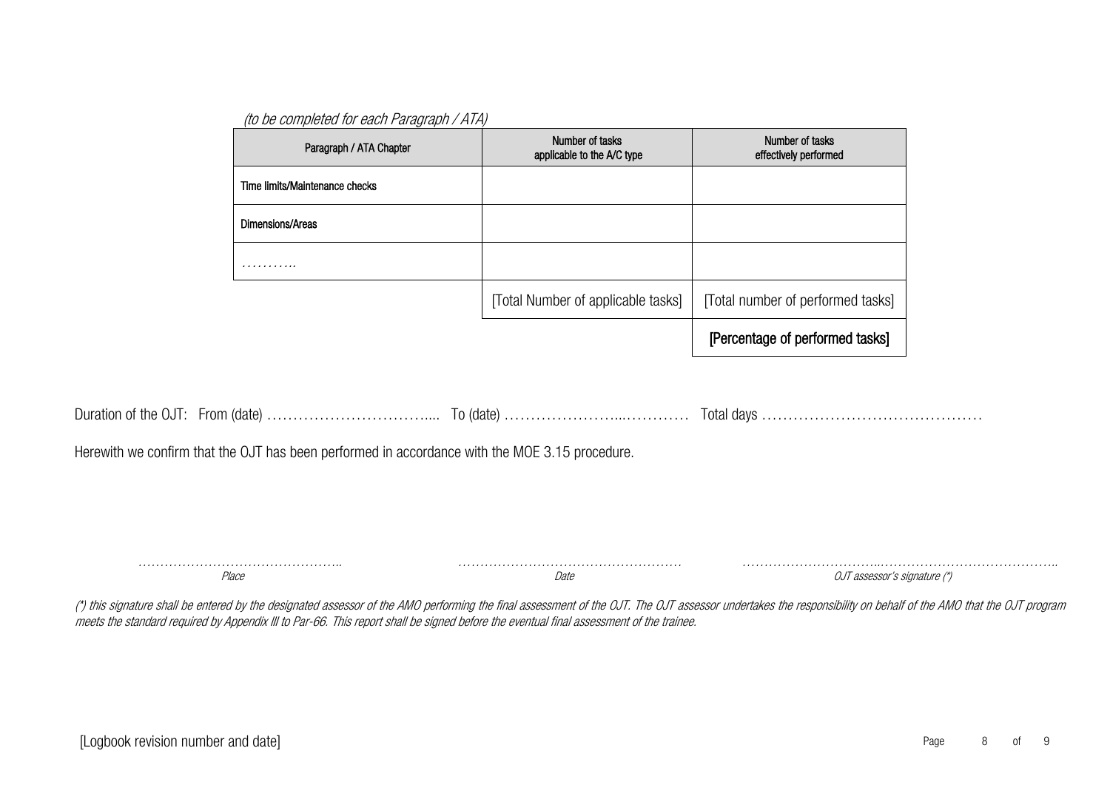| (to be completed for each Paragraph / ATA) |  |
|--------------------------------------------|--|
|--------------------------------------------|--|

| Time limits/Maintenance checks<br>Dimensions/Areas<br>.<br>[Total Number of applicable tasks]<br>[Total number of performed tasks]<br>[Percentage of performed tasks] |                                                                                                |
|-----------------------------------------------------------------------------------------------------------------------------------------------------------------------|------------------------------------------------------------------------------------------------|
|                                                                                                                                                                       |                                                                                                |
|                                                                                                                                                                       |                                                                                                |
|                                                                                                                                                                       |                                                                                                |
|                                                                                                                                                                       |                                                                                                |
|                                                                                                                                                                       |                                                                                                |
|                                                                                                                                                                       |                                                                                                |
|                                                                                                                                                                       |                                                                                                |
|                                                                                                                                                                       | Herewith we confirm that the OJT has been performed in accordance with the MOE 3.15 procedure. |

……………………………………….. Place ……………………………………………

**Date** 

…………………………..………………………………….. OJT assessor's signature (\*)

(\*) this signature shall be entered by the designated assessor of the AMO performing the final assessment of the OJT. The OJT assessor undertakes the responsibility on behalf of the AMO that the OJT program meets the standard required by Appendix III to Par-66. This report shall be signed before the eventual final assessment of the trainee.